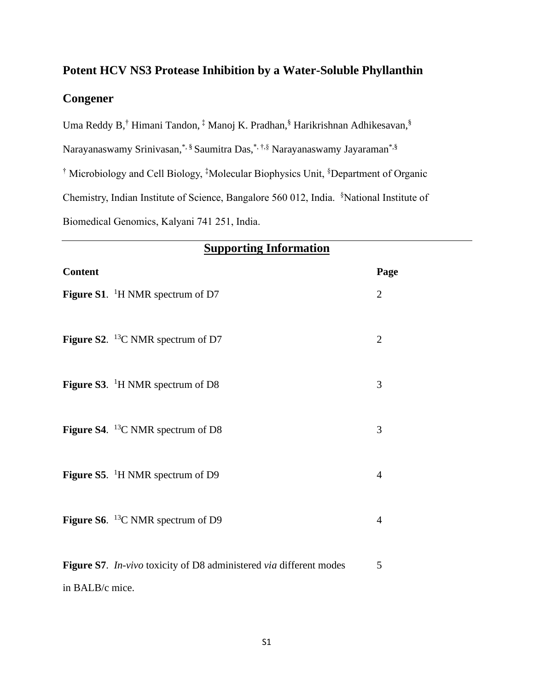## **Potent HCV NS3 Protease Inhibition by a Water-Soluble Phyllanthin Congener**

Uma Reddy B,<sup>†</sup> Himani Tandon, <sup>‡</sup> Manoj K. Pradhan, Î<sup>s</sup> Harikrishnan Adhikesavan, Î

Narayanaswamy Srinivasan,\*, § Saumitra Das,\*, †,§ Narayanaswamy Jayaraman\*,§

† Microbiology and Cell Biology, ‡Molecular Biophysics Unit, §Department of Organic

Chemistry, Indian Institute of Science, Bangalore 560 012, India. §National Institute of

Biomedical Genomics, Kalyani 741 251, India.

| <b>Supporting Information</b> |                                                                    |                |
|-------------------------------|--------------------------------------------------------------------|----------------|
| <b>Content</b>                |                                                                    | Page           |
|                               | <b>Figure S1.</b> <sup>1</sup> H NMR spectrum of D7                | $\overline{2}$ |
|                               | Figure S2. $^{13}$ C NMR spectrum of D7                            | $\overline{2}$ |
|                               | <b>Figure S3.</b> <sup>1</sup> H NMR spectrum of D8                | 3              |
|                               | <b>Figure S4.</b> <sup>13</sup> C NMR spectrum of D8               | 3              |
|                               | <b>Figure S5.</b> <sup>1</sup> H NMR spectrum of D9                | $\overline{4}$ |
|                               | Figure S6. $^{13}$ C NMR spectrum of D9                            | $\overline{4}$ |
| in BALB/c mice.               | Figure S7. In-vivo toxicity of D8 administered via different modes | 5              |
|                               |                                                                    |                |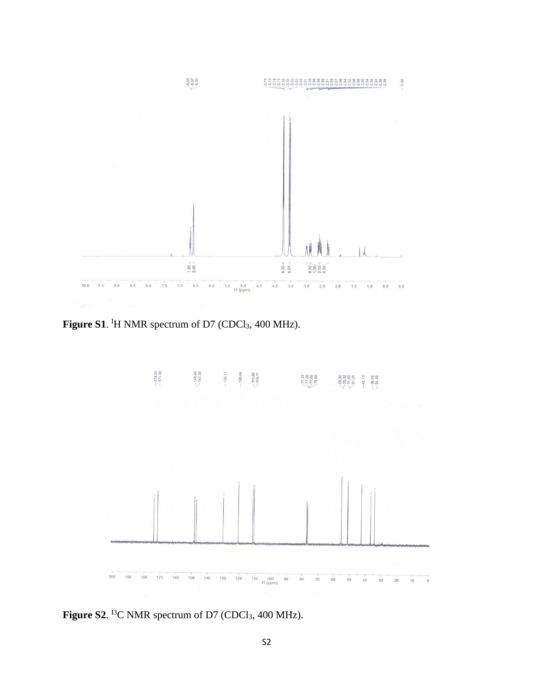

Figure S1. <sup>I</sup>H NMR spectrum of D7 (CDCl<sub>3</sub>, 400 MHz).



**Figure S2.** <sup>13</sup>C NMR spectrum of D7 (CDCl<sub>3</sub>, 400 MHz).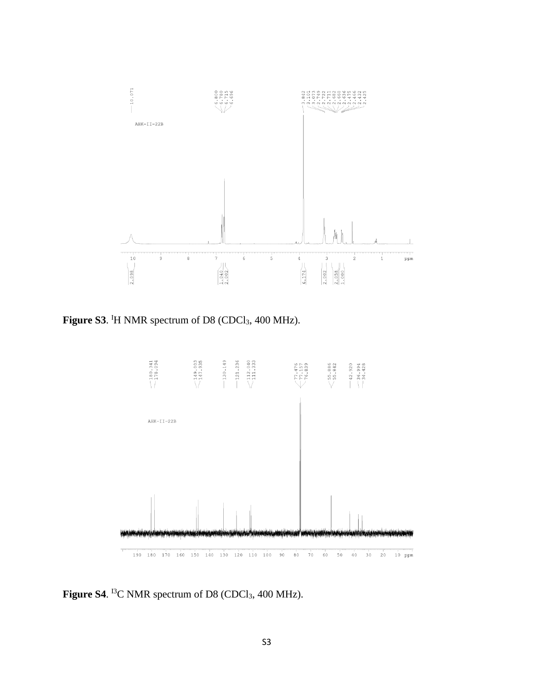

Figure S3. <sup>I</sup>H NMR spectrum of D8 (CDCl<sub>3</sub>, 400 MHz).



Figure S4. <sup>13</sup>C NMR spectrum of D8 (CDCl<sub>3</sub>, 400 MHz).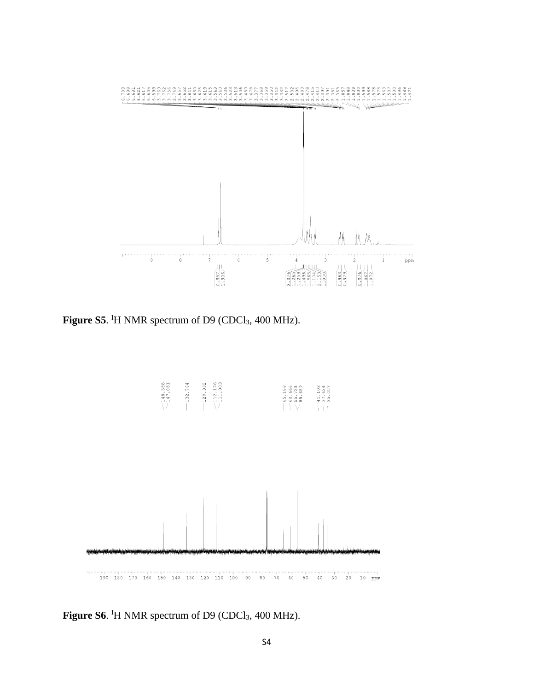

Figure S5. <sup>I</sup>H NMR spectrum of D9 (CDCl<sub>3</sub>, 400 MHz).



Figure S6. <sup>I</sup>H NMR spectrum of D9 (CDCl<sub>3</sub>, 400 MHz).